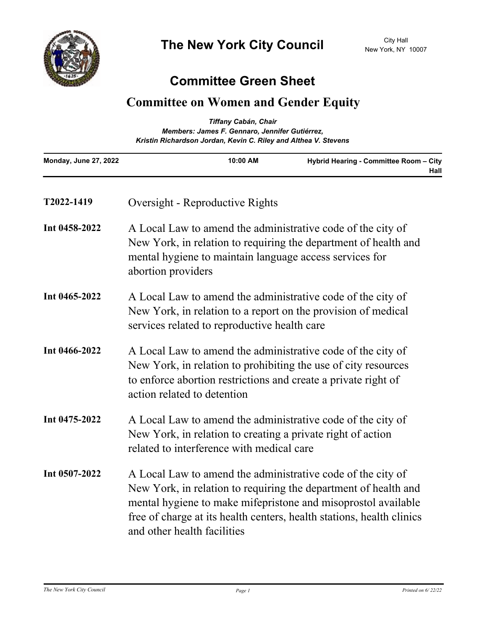

## **Committee Green Sheet**

## **Committee on Women and Gender Equity**

| <b>Tiffany Cabán, Chair</b><br>Members: James F. Gennaro, Jennifer Gutiérrez,<br>Kristin Richardson Jordan, Kevin C. Riley and Althea V. Stevens |                                                                                                                                                                                                                                                                                                         |                                                |
|--------------------------------------------------------------------------------------------------------------------------------------------------|---------------------------------------------------------------------------------------------------------------------------------------------------------------------------------------------------------------------------------------------------------------------------------------------------------|------------------------------------------------|
| Monday, June 27, 2022                                                                                                                            | 10:00 AM                                                                                                                                                                                                                                                                                                | Hybrid Hearing - Committee Room - City<br>Hall |
| T2022-1419                                                                                                                                       | Oversight - Reproductive Rights                                                                                                                                                                                                                                                                         |                                                |
| Int 0458-2022                                                                                                                                    | A Local Law to amend the administrative code of the city of<br>New York, in relation to requiring the department of health and<br>mental hygiene to maintain language access services for<br>abortion providers                                                                                         |                                                |
| Int 0465-2022                                                                                                                                    | A Local Law to amend the administrative code of the city of<br>New York, in relation to a report on the provision of medical<br>services related to reproductive health care                                                                                                                            |                                                |
| Int 0466-2022                                                                                                                                    | A Local Law to amend the administrative code of the city of<br>New York, in relation to prohibiting the use of city resources<br>to enforce abortion restrictions and create a private right of<br>action related to detention                                                                          |                                                |
| Int 0475-2022                                                                                                                                    | A Local Law to amend the administrative code of the city of<br>New York, in relation to creating a private right of action<br>related to interference with medical care                                                                                                                                 |                                                |
| Int 0507-2022                                                                                                                                    | A Local Law to amend the administrative code of the city of<br>New York, in relation to requiring the department of health and<br>mental hygiene to make mifepristone and misoprostol available<br>free of charge at its health centers, health stations, health clinics<br>and other health facilities |                                                |